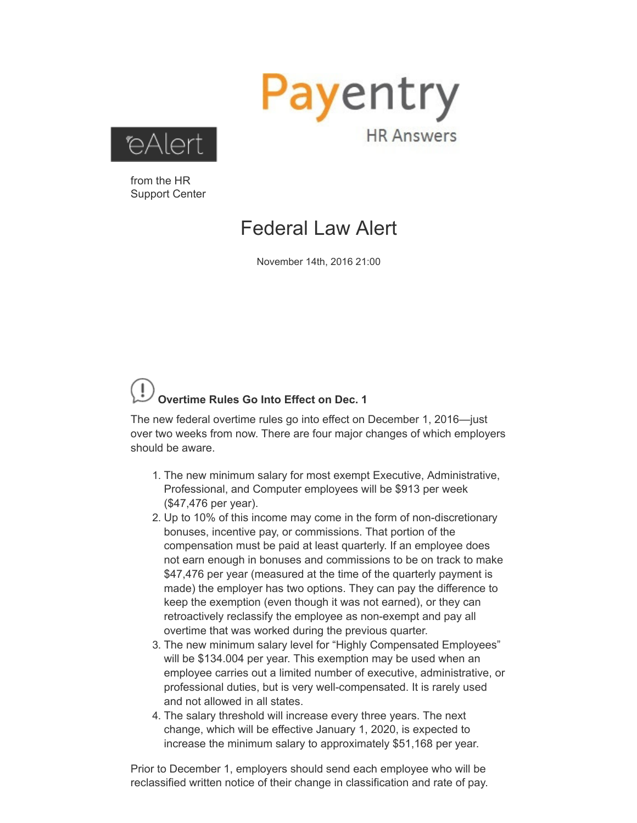



from the HR Support Center

## Federal Law Alert

November 14th, 2016 21:00

## **Overtime Rules Go Into Effect on Dec. 1**

The new federal overtime rules go into effect on December 1, 2016—just over two weeks from now. There are four major changes of which employers should be aware.

- 1. The new minimum salary for most exempt Executive, Administrative, Professional, and Computer employees will be \$913 per week (\$47,476 per year).
- 2. Up to 10% of this income may come in the form of non-discretionary bonuses, incentive pay, or commissions. That portion of the compensation must be paid at least quarterly. If an employee does not earn enough in bonuses and commissions to be on track to make \$47,476 per year (measured at the time of the quarterly payment is made) the employer has two options. They can pay the difference to keep the exemption (even though it was not earned), or they can retroactively reclassify the employee as non-exempt and pay all overtime that was worked during the previous quarter.
- 3. The new minimum salary level for "Highly Compensated Employees" will be \$134.004 per year. This exemption may be used when an employee carries out a limited number of executive, administrative, or professional duties, but is very well-compensated. It is rarely used and not allowed in all states.
- 4. The salary threshold will increase every three years. The next change, which will be effective January 1, 2020, is expected to increase the minimum salary to approximately \$51,168 per year.

Prior to December 1, employers should send each employee who will be reclassified written notice of their change in classification and rate of pay.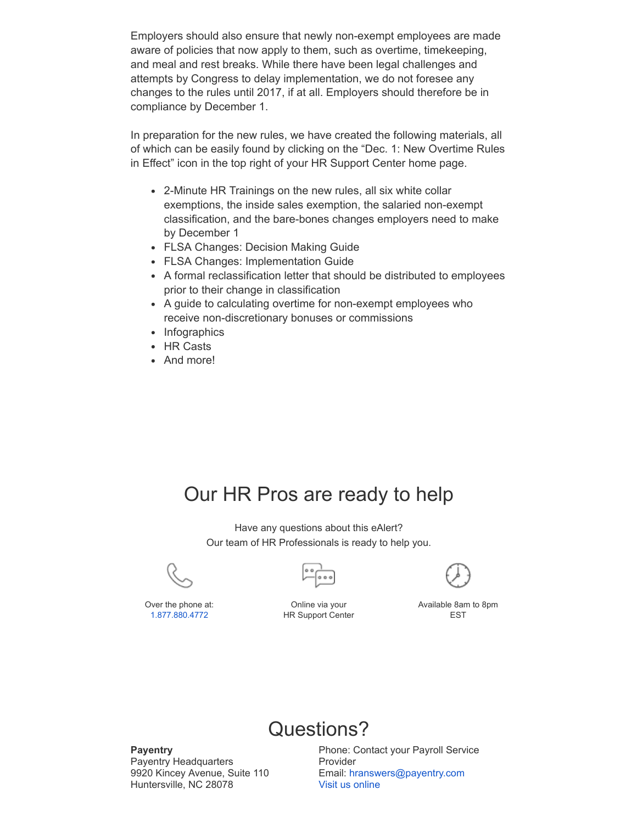Employers should also ensure that newly nonexempt employees are made aware of policies that now apply to them, such as overtime, timekeeping, and meal and rest breaks. While there have been legal challenges and attempts by Congress to delay implementation, we do not foresee any changes to the rules until 2017, if at all. Employers should therefore be in compliance by December 1.

In preparation for the new rules, we have created the following materials, all of which can be easily found by clicking on the "Dec. 1: New Overtime Rules in Effect" icon in the top right of your HR Support Center home page.

- 2-Minute HR Trainings on the new rules, all six white collar exemptions, the inside sales exemption, the salaried non-exempt classification, and the bare-bones changes employers need to make by December 1
- FLSA Changes: Decision Making Guide
- FLSA Changes: Implementation Guide
- A formal reclassification letter that should be distributed to employees prior to their change in classification
- A guide to calculating overtime for non-exempt employees who receive non-discretionary bonuses or commissions
- Infographics
- HR Casts
- And more!

## Our HR Pros are ready to help

Have any questions about this eAlert? Our team of HR Professionals is ready to help you.







Available 8am to 8pm EST

Over the phone at: [1.877.880.4772](tel:1.877.880.4772)

Online via your HR Support Center



**Payentry** Payentry Headquarters 9920 Kincey Avenue, Suite 110 Huntersville, NC 28078

Phone: Contact your Payroll Service Provider Email: [hranswers@payentry.com](mailto:hranswers@payentry.com) Visit us [online](http://payentry.com/)